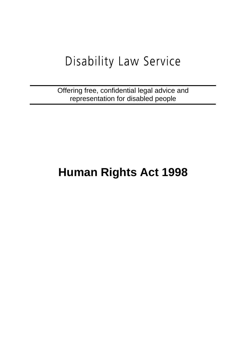# Disability Law Service

Offering free, confidential legal advice and representation for disabled people

## **Human Rights Act 1998**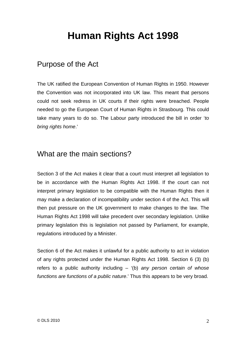## **Human Rights Act 1998**

## Purpose of the Act

The UK ratified the European Convention of Human Rights in 1950. However the Convention was not incorporated into UK law. This meant that persons could not seek redress in UK courts if their rights were breached. People needed to go the European Court of Human Rights in Strasbourg. This could take many years to do so. The Labour party introduced the bill in order '*to bring rights home*.'

## What are the main sections?

Section 3 of the Act makes it clear that a court must interpret all legislation to be in accordance with the Human Rights Act 1998. If the court can not interpret primary legislation to be compatible with the Human Rights then it may make a declaration of incompatibility under section 4 of the Act. This will then put pressure on the UK government to make changes to the law. The Human Rights Act 1998 will take precedent over secondary legislation. Unlike primary legislation this is legislation not passed by Parliament, for example, regulations introduced by a Minister.

Section 6 of the Act makes it unlawful for a public authority to act in violation of any rights protected under the Human Rights Act 1998. Section 6 (3) (b) refers to a public authority including – '(b) *any person certain of whose functions are functions of a public nature*.' Thus this appears to be very broad.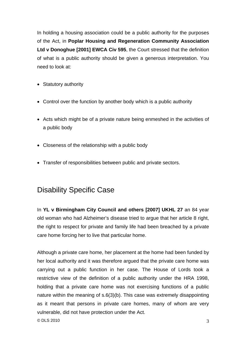In holding a housing association could be a public authority for the purposes of the Act, in **Poplar Housing and Regeneration Community Association Ltd v Donoghue [2001] EWCA Civ 595**, the Court stressed that the definition of what is a public authority should be given a generous interpretation. You need to look at:

- Statutory authority
- Control over the function by another body which is a public authority
- Acts which might be of a private nature being enmeshed in the activities of a public body
- Closeness of the relationship with a public body
- Transfer of responsibilities between public and private sectors.

## Disability Specific Case

In **YL v Birmingham City Council and others [2007] UKHL 27** an 84 year old woman who had Alzheimer's disease tried to argue that her article 8 right, the right to respect for private and family life had been breached by a private care home forcing her to live that particular home.

 $\odot$  DLS 2010  $\qquad \qquad$  3 Although a private care home, her placement at the home had been funded by her local authority and it was therefore argued that the private care home was carrying out a public function in her case. The House of Lords took a restrictive view of the definition of a public authority under the HRA 1998, holding that a private care home was not exercising functions of a public nature within the meaning of s.6(3)(b). This case was extremely disappointing as it meant that persons in private care homes, many of whom are very vulnerable, did not have protection under the Act.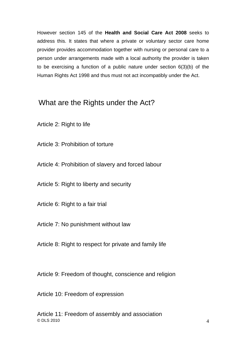However section 145 of the **Health and Social Care Act 2008** seeks to address this. It states that where a private or voluntary sector care home provider provides accommodation together with nursing or personal care to a person under arrangements made with a local authority the provider is taken to be exercising a function of a public nature under section 6(3)(b) of the Human Rights Act 1998 and thus must not act incompatibly under the Act.

#### What are the Rights under the Act?

Article 2: Right to life

Article 3: Prohibition of torture

Article 4: Prohibition of slavery and forced labour

Article 5: Right to liberty and security

Article 6: Right to a fair trial

Article 7: No punishment without law

Article 8: Right to respect for private and family life

Article 9: Freedom of thought, conscience and religion

Article 10: Freedom of expression

 $\odot$  DLS 2010  $\ddot{\hspace{1cm}}$  4 Article 11: Freedom of assembly and association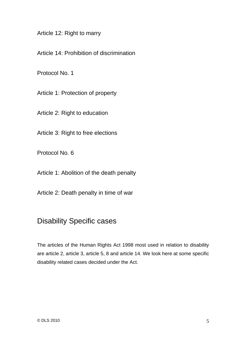Article 12: Right to marry

Article 14: Prohibition of discrimination

Protocol No. 1

Article 1: Protection of property

Article 2: Right to education

Article 3: Right to free elections

Protocol No. 6

Article 1: Abolition of the death penalty

Article 2: Death penalty in time of war

## Disability Specific cases

The articles of the Human Rights Act 1998 most used in relation to disability are article 2, article 3, article 5, 8 and article 14. We look here at some specific disability related cases decided under the Act.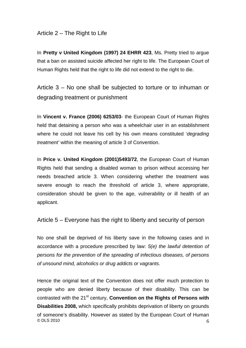#### Article 2 – The Right to Life

In **Pretty v United Kingdom (1997) 24 EHRR 423**, Ms. Pretty tried to argue that a ban on assisted suicide affected her right to life. The European Court of Human Rights held that the right to life did not extend to the right to die.

Article 3 – No one shall be subjected to torture or to inhuman or degrading treatment or punishment

In **Vincent v. France (2006) 6253/03**- the European Court of Human Rights held that detaining a person who was a wheelchair user in an establishment where he could not leave his cell by his own means constituted '*degrading treatment'* within the meaning of article 3 of Convention.

In **Price v. United Kingdom (2001)5493/72**, the European Court of Human Rights held that sending a disabled woman to prison without accessing her needs breached article 3. When considering whether the treatment was severe enough to reach the threshold of article 3, where appropriate, consideration should be given to the age, vulnerability or ill health of an applicant.

Article 5 – Everyone has the right to liberty and security of person

No one shall be deprived of his liberty save in the following cases and in accordance with a procedure prescribed by law: *5(e) the lawful detention of persons for the prevention of the spreading of infectious diseases, of persons of unsound mind, alcoholics or drug addicts or vagrants*.

© DLS 2010  $\qquad \qquad 6$ Hence the original text of the Convention does not offer much protection to people who are denied liberty because of their disability. This can be contrasted with the 21<sup>st</sup> century, **Convention on the Rights of Persons with Disabilities 2008,** which specifically prohibits deprivation of liberty on grounds of someone's disability. However as stated by the European Court of Human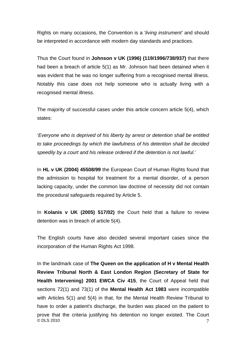Rights on many occasions, the Convention is a '*living instrument'* and should be interpreted in accordance with modern day standards and practices.

Thus the Court found in **Johnson v UK (1996) (119/1996/738/937)** that there had been a breach of article 5(1) as Mr. Johnson had been detained when it was evident that he was no longer suffering from a recognised mental illness. Notably this case does not help someone who is actually living with a recognised mental illness.

The majority of successful cases under this article concern article 5(4), which states:

'*Everyone who is deprived of his liberty by arrest or detention shall be entitled to take proceedings by which the lawfulness of his detention shall be decided speedily by a court and his release ordered if the detention is not lawful*.'

In **HL v UK (2004) 45508/99** the European Court of Human Rights found that the admission to hospital for treatment for a mental disorder, of a person lacking capacity, under the common law doctrine of necessity did not contain the procedural safeguards required by Article 5.

In **Kolanis v UK (2005) 517/02)** the Court held that a failure to review detention was in breach of article 5(4).

The English courts have also decided several important cases since the incorporation of the Human Rights Act 1998.

© DLS 2010  $\hskip 1.6cm 7$ In the landmark case of **The Queen on the application of H v Mental Health Review Tribunal North & East London Region (Secretary of State for Health Intervening) 2001 EWCA Civ 415**, the Court of Appeal held that sections 72(1) and 73(1) of the **Mental Health Act 1983** were incompatible with Articles 5(1) and 5(4) in that, for the Mental Health Review Tribunal to have to order a patient's discharge, the burden was placed on the patient to prove that the criteria justifying his detention no longer existed. The Court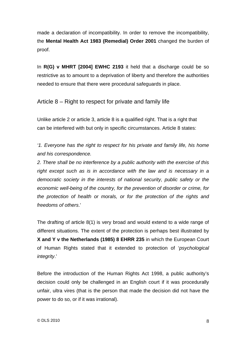made a declaration of incompatibility. In order to remove the incompatibility, the **Mental Health Act 1983 (Remedial) Order 2001** changed the burden of proof.

In **R(G) v MHRT [2004] EWHC 2193** it held that a discharge could be so restrictive as to amount to a deprivation of liberty and therefore the authorities needed to ensure that there were procedural safeguards in place.

Article 8 – Right to respect for private and family life

Unlike article 2 or article 3, article 8 is a qualified right. That is a right that can be interfered with but only in specific circumstances. Article 8 states:

*'1. Everyone has the right to respect for his private and family life, his home and his correspondence.* 

*2. There shall be no interference by a public authority with the exercise of this right except such as is in accordance with the law and is necessary in a democratic society in the interests of national security, public safety or the economic well-being of the country, for the prevention of disorder or crime, for the protection of health or morals, or for the protection of the rights and freedoms of others*.'

The drafting of article 8(1) is very broad and would extend to a wide range of different situations. The extent of the protection is perhaps best illustrated by **X and Y v the Netherlands (1985) 8 EHRR 235** in which the European Court of Human Rights stated that it extended to protection of '*psychological integrity*.'

Before the introduction of the Human Rights Act 1998, a public authority's decision could only be challenged in an English court if it was procedurally unfair, ultra vires (that is the person that made the decision did not have the power to do so, or if it was irrational).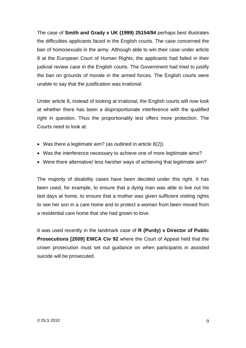The case of **Smith and Grady v UK (1999) 25154/94** perhaps best illustrates the difficulties applicants faced in the English courts. The case concerned the ban of homosexuals in the army. Although able to win their case under article 8 at the European Court of Human Rights, the applicants had failed in their judicial review case in the English courts. The Government had tried to justify the ban on grounds of morale in the armed forces. The English courts were unable to say that the justification was irrational.

Under article 8, instead of looking at irrational, the English courts will now look at whether there has been a disproportionate interference with the qualified right in question. Thus the proportionality test offers more protection. The Courts need to look at:

- Was there a legitimate aim? (as outlined in article 8(2))
- Was the interference necessary to achieve one of more legitimate aims?
- Were there alternative/ less harsher ways of achieving that legitimate aim?

The majority of disability cases have been decided under this right. It has been used, for example, to ensure that a dying man was able to live out his last days at home, to ensure that a mother was given sufficient visiting rights to see her son in a care home and to protect a woman from been moved from a residential care home that she had grown to love.

It was used recently in the landmark case of **R (Purdy) v Director of Public Prosecutions [2009] EWCA Civ 92** where the Court of Appeal held that the crown prosecution must set out guidance on when participants in assisted suicide will be prosecuted.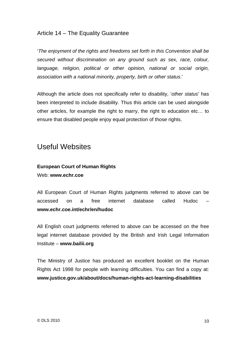#### Article 14 – The Equality Guarantee

'*The enjoyment of the rights and freedoms set forth in this Convention shall be secured without discrimination on any ground such as sex, race, colour, language, religion, political or other opinion, national or social origin, association with a national minority, property, birth or other status*.'

Although the article does not specifically refer to disability, '*other status*' has been interpreted to include disability. Thus this article can be used alongside other articles, for example the right to marry, the right to education etc… to ensure that disabled people enjoy equal protection of those rights.

#### Useful Websites

#### **European Court of Human Rights**  Web: **www.echr.coe**

All European Court of Human Rights judgments referred to above can be accessed on a free internet database called Hudoc – **www.echr.coe.int/echr/en/hudoc** 

All English court judgments referred to above can be accessed on the free legal internet database provided by the British and Irish Legal Information Institute – **www.bailii.org**

The Ministry of Justice has produced an excellent booklet on the Human Rights Act 1998 for people with learning difficulties. You can find a copy at: **www.justice.gov.uk/about/docs/human-rights-act-learning-disabilities**